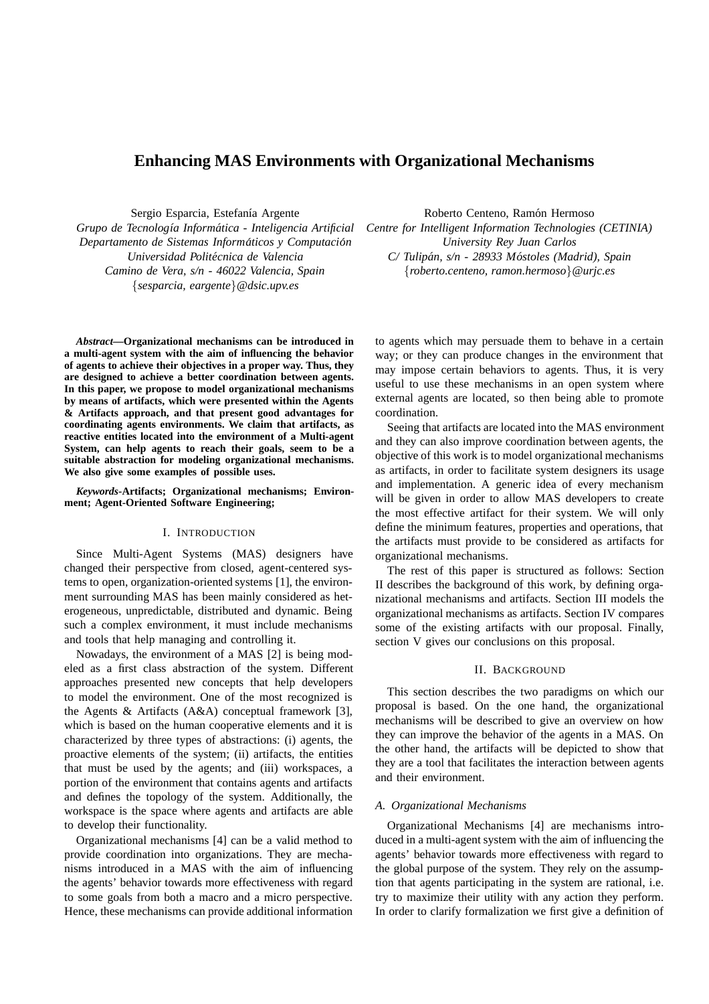# **Enhancing MAS Environments with Organizational Mechanisms**

Sergio Esparcia, Estefanía Argente *Grupo de Tecnolog´ıa Informatica - Inteligencia Artificial ´ Departamento de Sistemas Informaticos y Computaci ´ on´ Universidad Politecnica de Valencia ´ Camino de Vera, s/n - 46022 Valencia, Spain* {*sesparcia, eargente*}*@dsic.upv.es*

*Abstract***—Organizational mechanisms can be introduced in a multi-agent system with the aim of influencing the behavior of agents to achieve their objectives in a proper way. Thus, they are designed to achieve a better coordination between agents. In this paper, we propose to model organizational mechanisms by means of artifacts, which were presented within the Agents & Artifacts approach, and that present good advantages for coordinating agents environments. We claim that artifacts, as reactive entities located into the environment of a Multi-agent System, can help agents to reach their goals, seem to be a suitable abstraction for modeling organizational mechanisms. We also give some examples of possible uses.**

*Keywords***-Artifacts; Organizational mechanisms; Environment; Agent-Oriented Software Engineering;**

# I. INTRODUCTION

Since Multi-Agent Systems (MAS) designers have changed their perspective from closed, agent-centered systems to open, organization-oriented systems [1], the environment surrounding MAS has been mainly considered as heterogeneous, unpredictable, distributed and dynamic. Being such a complex environment, it must include mechanisms and tools that help managing and controlling it.

Nowadays, the environment of a MAS [2] is being modeled as a first class abstraction of the system. Different approaches presented new concepts that help developers to model the environment. One of the most recognized is the Agents & Artifacts (A&A) conceptual framework [3], which is based on the human cooperative elements and it is characterized by three types of abstractions: (i) agents, the proactive elements of the system; (ii) artifacts, the entities that must be used by the agents; and (iii) workspaces, a portion of the environment that contains agents and artifacts and defines the topology of the system. Additionally, the workspace is the space where agents and artifacts are able to develop their functionality.

Organizational mechanisms [4] can be a valid method to provide coordination into organizations. They are mechanisms introduced in a MAS with the aim of influencing the agents' behavior towards more effectiveness with regard to some goals from both a macro and a micro perspective. Hence, these mechanisms can provide additional information

Roberto Centeno, Ramón Hermoso *Centre for Intelligent Information Technologies (CETINIA) University Rey Juan Carlos C/ Tulipan, s/n - 28933 M ´ ostoles (Madrid), Spain ´* {*roberto.centeno, ramon.hermoso*}*@urjc.es*

to agents which may persuade them to behave in a certain way; or they can produce changes in the environment that may impose certain behaviors to agents. Thus, it is very useful to use these mechanisms in an open system where external agents are located, so then being able to promote coordination.

Seeing that artifacts are located into the MAS environment and they can also improve coordination between agents, the objective of this work is to model organizational mechanisms as artifacts, in order to facilitate system designers its usage and implementation. A generic idea of every mechanism will be given in order to allow MAS developers to create the most effective artifact for their system. We will only define the minimum features, properties and operations, that the artifacts must provide to be considered as artifacts for organizational mechanisms.

The rest of this paper is structured as follows: Section II describes the background of this work, by defining organizational mechanisms and artifacts. Section III models the organizational mechanisms as artifacts. Section IV compares some of the existing artifacts with our proposal. Finally, section V gives our conclusions on this proposal.

# II. BACKGROUND

This section describes the two paradigms on which our proposal is based. On the one hand, the organizational mechanisms will be described to give an overview on how they can improve the behavior of the agents in a MAS. On the other hand, the artifacts will be depicted to show that they are a tool that facilitates the interaction between agents and their environment.

#### *A. Organizational Mechanisms*

Organizational Mechanisms [4] are mechanisms introduced in a multi-agent system with the aim of influencing the agents' behavior towards more effectiveness with regard to the global purpose of the system. They rely on the assumption that agents participating in the system are rational, i.e. try to maximize their utility with any action they perform. In order to clarify formalization we first give a definition of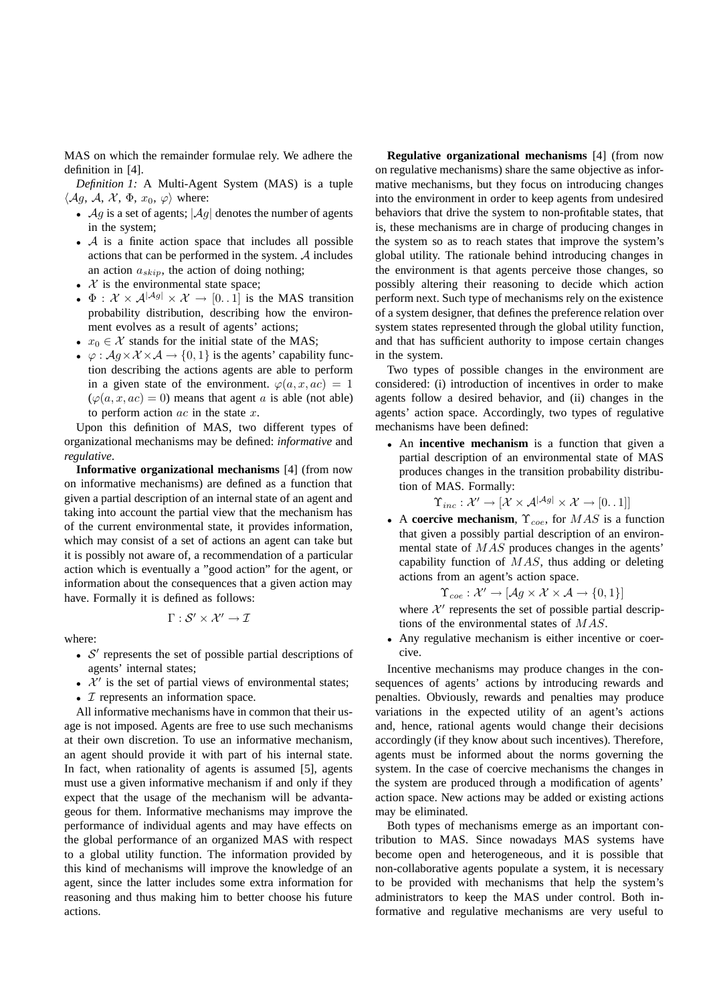MAS on which the remainder formulae rely. We adhere the definition in [4].

*Definition 1:* A Multi-Agent System (MAS) is a tuple  $\langle \mathcal{A}, \mathcal{A}, \mathcal{X}, \Phi, x_0, \varphi \rangle$  where:

- $\mathcal{A}g$  is a set of agents;  $|\mathcal{A}g|$  denotes the number of agents in the system;
- A is a finite action space that includes all possible actions that can be performed in the system. A includes an action  $a_{skin}$ , the action of doing nothing;
- $X$  is the environmental state space:
- $\Phi : \mathcal{X} \times \mathcal{A}^{|\mathcal{A}g|} \times \mathcal{X} \to [0, 1]$  is the MAS transition probability distribution, describing how the environment evolves as a result of agents' actions;
- $x_0 \in \mathcal{X}$  stands for the initial state of the MAS;
- $\varphi : Ag \times \mathcal{X} \times \mathcal{A} \rightarrow \{0, 1\}$  is the agents' capability function describing the actions agents are able to perform in a given state of the environment.  $\varphi(a, x, ac) = 1$  $(\varphi(a, x, ac) = 0)$  means that agent a is able (not able) to perform action  $ac$  in the state  $x$ .

Upon this definition of MAS, two different types of organizational mechanisms may be defined: *informative* and *regulative*.

**Informative organizational mechanisms** [4] (from now on informative mechanisms) are defined as a function that given a partial description of an internal state of an agent and taking into account the partial view that the mechanism has of the current environmental state, it provides information, which may consist of a set of actions an agent can take but it is possibly not aware of, a recommendation of a particular action which is eventually a "good action" for the agent, or information about the consequences that a given action may have. Formally it is defined as follows:

$$
\Gamma: \mathcal{S}' \times \mathcal{X}' \rightarrow \mathcal{I}
$$

where:

- $S'$  represents the set of possible partial descriptions of agents' internal states;
- $\mathcal{X}'$  is the set of partial views of environmental states;
- $I$  represents an information space.

All informative mechanisms have in common that their usage is not imposed. Agents are free to use such mechanisms at their own discretion. To use an informative mechanism, an agent should provide it with part of his internal state. In fact, when rationality of agents is assumed [5], agents must use a given informative mechanism if and only if they expect that the usage of the mechanism will be advantageous for them. Informative mechanisms may improve the performance of individual agents and may have effects on the global performance of an organized MAS with respect to a global utility function. The information provided by this kind of mechanisms will improve the knowledge of an agent, since the latter includes some extra information for reasoning and thus making him to better choose his future actions.

**Regulative organizational mechanisms** [4] (from now on regulative mechanisms) share the same objective as informative mechanisms, but they focus on introducing changes into the environment in order to keep agents from undesired behaviors that drive the system to non-profitable states, that is, these mechanisms are in charge of producing changes in the system so as to reach states that improve the system's global utility. The rationale behind introducing changes in the environment is that agents perceive those changes, so possibly altering their reasoning to decide which action perform next. Such type of mechanisms rely on the existence of a system designer, that defines the preference relation over system states represented through the global utility function, and that has sufficient authority to impose certain changes in the system.

Two types of possible changes in the environment are considered: (i) introduction of incentives in order to make agents follow a desired behavior, and (ii) changes in the agents' action space. Accordingly, two types of regulative mechanisms have been defined:

• An **incentive mechanism** is a function that given a partial description of an environmental state of MAS produces changes in the transition probability distribution of MAS. Formally:

$$
\Upsilon_{inc}: \mathcal{X}' \to [\mathcal{X} \times \mathcal{A}^{|\mathcal{A}g|} \times \mathcal{X} \to [0..1]]
$$

• <sup>A</sup> **coercive mechanism**, <sup>Υ</sup>*coe*, for MAS is a function that given a possibly partial description of an environmental state of MAS produces changes in the agents' capability function of  $MAS$ , thus adding or deleting actions from an agent's action space.

$$
\Upsilon_{coe}: \mathcal{X}' \to [\mathcal{A}g \times \mathcal{X} \times \mathcal{A} \to \{0,1\}]
$$

where  $\mathcal{X}'$  represents the set of possible partial descriptions of the environmental states of MAS.

• Any regulative mechanism is either incentive or coercive.

Incentive mechanisms may produce changes in the consequences of agents' actions by introducing rewards and penalties. Obviously, rewards and penalties may produce variations in the expected utility of an agent's actions and, hence, rational agents would change their decisions accordingly (if they know about such incentives). Therefore, agents must be informed about the norms governing the system. In the case of coercive mechanisms the changes in the system are produced through a modification of agents' action space. New actions may be added or existing actions may be eliminated.

Both types of mechanisms emerge as an important contribution to MAS. Since nowadays MAS systems have become open and heterogeneous, and it is possible that non-collaborative agents populate a system, it is necessary to be provided with mechanisms that help the system's administrators to keep the MAS under control. Both informative and regulative mechanisms are very useful to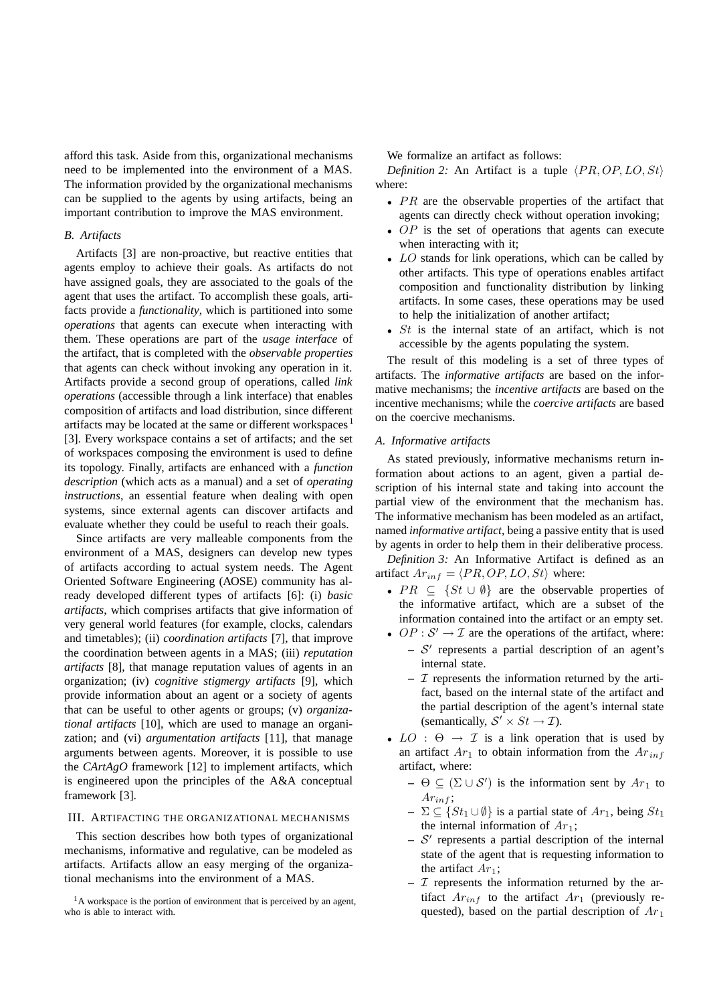afford this task. Aside from this, organizational mechanisms need to be implemented into the environment of a MAS. The information provided by the organizational mechanisms can be supplied to the agents by using artifacts, being an important contribution to improve the MAS environment.

#### *B. Artifacts*

Artifacts [3] are non-proactive, but reactive entities that agents employ to achieve their goals. As artifacts do not have assigned goals, they are associated to the goals of the agent that uses the artifact. To accomplish these goals, artifacts provide a *functionality*, which is partitioned into some *operations* that agents can execute when interacting with them. These operations are part of the *usage interface* of the artifact, that is completed with the *observable properties* that agents can check without invoking any operation in it. Artifacts provide a second group of operations, called *link operations* (accessible through a link interface) that enables composition of artifacts and load distribution, since different artifacts may be located at the same or different workspaces <sup>1</sup> [3]. Every workspace contains a set of artifacts; and the set of workspaces composing the environment is used to define its topology. Finally, artifacts are enhanced with a *function description* (which acts as a manual) and a set of *operating instructions*, an essential feature when dealing with open systems, since external agents can discover artifacts and evaluate whether they could be useful to reach their goals.

Since artifacts are very malleable components from the environment of a MAS, designers can develop new types of artifacts according to actual system needs. The Agent Oriented Software Engineering (AOSE) community has already developed different types of artifacts [6]: (i) *basic artifacts*, which comprises artifacts that give information of very general world features (for example, clocks, calendars and timetables); (ii) *coordination artifacts* [7], that improve the coordination between agents in a MAS; (iii) *reputation artifacts* [8], that manage reputation values of agents in an organization; (iv) *cognitive stigmergy artifacts* [9], which provide information about an agent or a society of agents that can be useful to other agents or groups; (v) *organizational artifacts* [10], which are used to manage an organization; and (vi) *argumentation artifacts* [11], that manage arguments between agents. Moreover, it is possible to use the *CArtAgO* framework [12] to implement artifacts, which is engineered upon the principles of the A&A conceptual framework [3].

# III. ARTIFACTING THE ORGANIZATIONAL MECHANISMS

This section describes how both types of organizational mechanisms, informative and regulative, can be modeled as artifacts. Artifacts allow an easy merging of the organizational mechanisms into the environment of a MAS.

We formalize an artifact as follows:

*Definition 2:* An Artifact is a tuple  $\langle PR, OP, LO, St \rangle$ where:

- $PR$  are the observable properties of the artifact that agents can directly check without operation invoking;
- $OP$  is the set of operations that agents can execute when interacting with it;
- *LO* stands for link operations, which can be called by other artifacts. This type of operations enables artifact composition and functionality distribution by linking artifacts. In some cases, these operations may be used to help the initialization of another artifact;
- $St$  is the internal state of an artifact, which is not accessible by the agents populating the system.

The result of this modeling is a set of three types of artifacts. The *informative artifacts* are based on the informative mechanisms; the *incentive artifacts* are based on the incentive mechanisms; while the *coercive artifacts* are based on the coercive mechanisms.

### *A. Informative artifacts*

As stated previously, informative mechanisms return information about actions to an agent, given a partial description of his internal state and taking into account the partial view of the environment that the mechanism has. The informative mechanism has been modeled as an artifact, named *informative artifact*, being a passive entity that is used by agents in order to help them in their deliberative process.

*Definition 3:* An Informative Artifact is defined as an artifact  $Ar_{inf} = \langle PR, OP, LO, St \rangle$  where:

- $PR \subseteq \{St \cup \emptyset\}$  are the observable properties of the informative artifact, which are a subset of the information contained into the artifact or an empty set.
- $OP : S' \rightarrow I$  are the operations of the artifact, where:  $-$  S' represents a partial description of an agent's internal state.
	- $\overline{\mathcal{I}}$  represents the information returned by the artifact, based on the internal state of the artifact and the partial description of the agent's internal state (semantically,  $S' \times St \rightarrow \mathcal{I}$ ).
- $LO: \Theta \rightarrow \mathcal{I}$  is a link operation that is used by an artifact  $Ar_1$  to obtain information from the  $Ar_{inf}$ artifact, where:
	- $\Theta$  ⊆ ( $\Sigma \cup S'$ ) is the information sent by  $Ar_1$  to  $Ar_{inf}$ ;
	- $-$  Σ ⊆ {St<sub>1</sub> ∪ ∅} is a partial state of Ar<sub>1</sub>, being St<sub>1</sub> the internal information of  $Ar_1$ ;
	- $S'$  represents a partial description of the internal state of the agent that is requesting information to the artifact  $Ar_1$ ;
	- $\overline{\mathcal{I}}$  represents the information returned by the artifact  $Ar_{inf}$  to the artifact  $Ar_1$  (previously requested), based on the partial description of  $Ar<sub>1</sub>$

<sup>&</sup>lt;sup>1</sup>A workspace is the portion of environment that is perceived by an agent, who is able to interact with.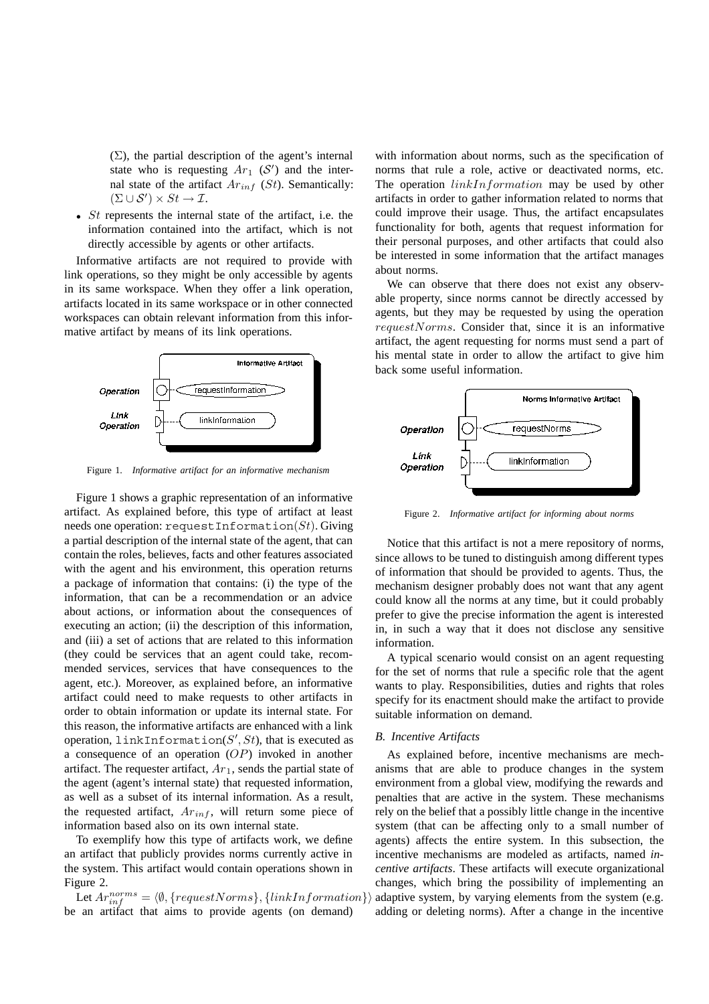$(\Sigma)$ , the partial description of the agent's internal state who is requesting  $Ar_1$  (S') and the internal state of the artifact  $Ar_{inf}$  (St). Semantically:  $(\Sigma \cup \mathcal{S}') \times St \to \mathcal{I}.$ 

•  $St$  represents the internal state of the artifact, i.e. the information contained into the artifact, which is not directly accessible by agents or other artifacts.

Informative artifacts are not required to provide with link operations, so they might be only accessible by agents in its same workspace. When they offer a link operation, artifacts located in its same workspace or in other connected workspaces can obtain relevant information from this informative artifact by means of its link operations.



Figure 1. *Informative artifact for an informative mechanism*

Figure 1 shows a graphic representation of an informative artifact. As explained before, this type of artifact at least needs one operation: requestInformation( $St$ ). Giving a partial description of the internal state of the agent, that can contain the roles, believes, facts and other features associated with the agent and his environment, this operation returns a package of information that contains: (i) the type of the information, that can be a recommendation or an advice about actions, or information about the consequences of executing an action; (ii) the description of this information, and (iii) a set of actions that are related to this information (they could be services that an agent could take, recommended services, services that have consequences to the agent, etc.). Moreover, as explained before, an informative artifact could need to make requests to other artifacts in order to obtain information or update its internal state. For this reason, the informative artifacts are enhanced with a link operation, linkInformation( $S', St$ ), that is executed as a consequence of an operation  $OP$  invoked in another artifact. The requester artifact,  $Ar_1$ , sends the partial state of the agent (agent's internal state) that requested information, as well as a subset of its internal information. As a result, the requested artifact,  $Ar_{inf}$ , will return some piece of information based also on its own internal state.

To exemplify how this type of artifacts work, we define an artifact that publicly provides norms currently active in the system. This artifact would contain operations shown in Figure 2.

Let  $Ar_{inf}^{norms} = \langle \emptyset, \{requestNorms\}, \{linkInformation\} \rangle$ <br>an artifact that aims to provide agents (on demand) be an artifact that aims to provide agents (on demand)

with information about norms, such as the specification of norms that rule a role, active or deactivated norms, etc. The operation  $linkInformation$  may be used by other artifacts in order to gather information related to norms that could improve their usage. Thus, the artifact encapsulates functionality for both, agents that request information for their personal purposes, and other artifacts that could also be interested in some information that the artifact manages about norms.

We can observe that there does not exist any observable property, since norms cannot be directly accessed by agents, but they may be requested by using the operation requestNorms. Consider that, since it is an informative artifact, the agent requesting for norms must send a part of his mental state in order to allow the artifact to give him back some useful information.



Figure 2. *Informative artifact for informing about norms*

Notice that this artifact is not a mere repository of norms, since allows to be tuned to distinguish among different types of information that should be provided to agents. Thus, the mechanism designer probably does not want that any agent could know all the norms at any time, but it could probably prefer to give the precise information the agent is interested in, in such a way that it does not disclose any sensitive information.

A typical scenario would consist on an agent requesting for the set of norms that rule a specific role that the agent wants to play. Responsibilities, duties and rights that roles specify for its enactment should make the artifact to provide suitable information on demand.

## *B. Incentive Artifacts*

As explained before, incentive mechanisms are mechanisms that are able to produce changes in the system environment from a global view, modifying the rewards and penalties that are active in the system. These mechanisms rely on the belief that a possibly little change in the incentive system (that can be affecting only to a small number of agents) affects the entire system. In this subsection, the incentive mechanisms are modeled as artifacts, named *incentive artifacts*. These artifacts will execute organizational changes, which bring the possibility of implementing an adaptive system, by varying elements from the system (e.g. adding or deleting norms). After a change in the incentive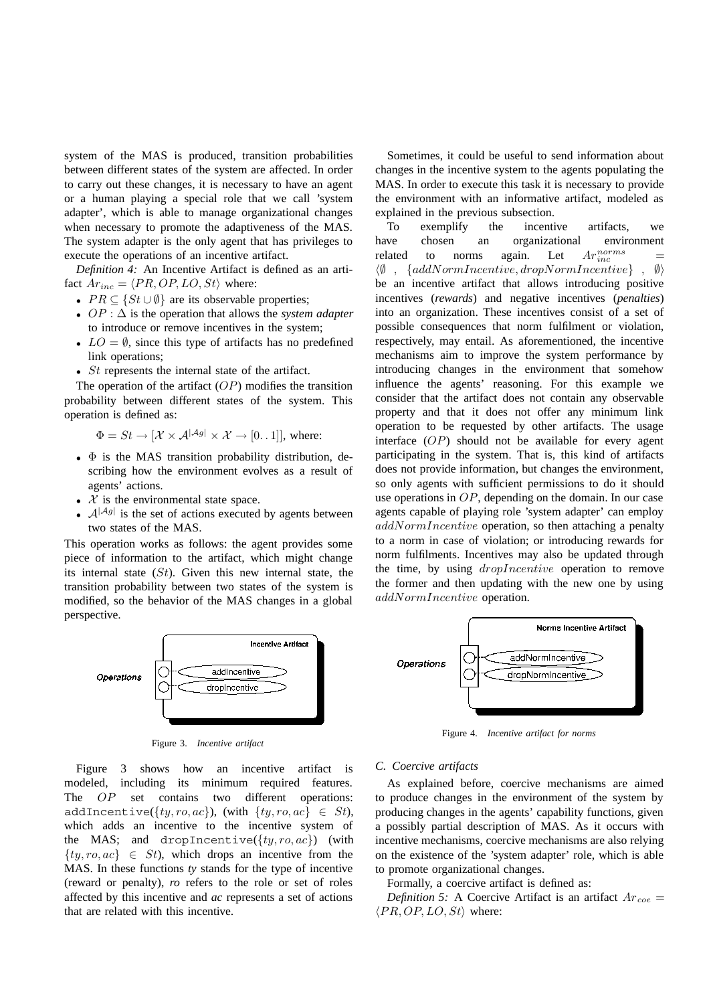system of the MAS is produced, transition probabilities between different states of the system are affected. In order to carry out these changes, it is necessary to have an agent or a human playing a special role that we call 'system adapter', which is able to manage organizational changes when necessary to promote the adaptiveness of the MAS. The system adapter is the only agent that has privileges to execute the operations of an incentive artifact.

*Definition 4:* An Incentive Artifact is defined as an artifact  $Ar_{inc} = \langle PR, OP, LO, St \rangle$  where:

- $PR \subseteq \{St \cup \emptyset\}$  are its observable properties;
- OP : ∆ is the operation that allows the *system adapter* to introduce or remove incentives in the system;
- $LO = \emptyset$ , since this type of artifacts has no predefined link operations;
- $St$  represents the internal state of the artifact.

The operation of the artifact  $OP$ ) modifies the transition probability between different states of the system. This operation is defined as:

$$
\Phi = St \to [\mathcal{X} \times \mathcal{A}^{|\mathcal{A}g|} \times \mathcal{X} \to [0..1]], \text{ where:}
$$

- $\bullet$   $\Phi$  is the MAS transition probability distribution, describing how the environment evolves as a result of agents' actions.
- $X$  is the environmental state space.
- $A^{Ag}$  is the set of actions executed by agents between two states of the MAS.

This operation works as follows: the agent provides some piece of information to the artifact, which might change its internal state  $(St)$ . Given this new internal state, the transition probability between two states of the system is modified, so the behavior of the MAS changes in a global perspective.



Figure 3. *Incentive artifact*

Figure 3 shows how an incentive artifact is modeled, including its minimum required features. The *OP* set contains two different operations: addIncentive( $\{ty, ro, ac\}$ ), (with  $\{ty, ro, ac\} \in St$ ), which adds an incentive to the incentive system of the MAS; and dropIncentive( $\{ty, ro, ac\}$ ) (with  $\{ty, ro, ac\} \in St$ , which drops an incentive from the MAS. In these functions *ty* stands for the type of incentive (reward or penalty), *ro* refers to the role or set of roles affected by this incentive and *ac* represents a set of actions that are related with this incentive.

Sometimes, it could be useful to send information about changes in the incentive system to the agents populating the MAS. In order to execute this task it is necessary to provide the environment with an informative artifact, modeled as explained in the previous subsection.

To exemplify the incentive artifacts, we have chosen an organizational environment related to norms again. Let Ar*norms*  $\begin{array}{lll} {\rm related} & {\rm to} & {\rm norms} & {\rm again}. & {\rm Let} & Ar_{inc}^{norms} & = \ \langle \emptyset \;\; , & \{addNormIncentive, dropNormIncentive\} \;\; , & \emptyset \rangle \end{array}$ be an incentive artifact that allows introducing positive incentives (*rewards*) and negative incentives (*penalties*) into an organization. These incentives consist of a set of possible consequences that norm fulfilment or violation, respectively, may entail. As aforementioned, the incentive mechanisms aim to improve the system performance by introducing changes in the environment that somehow influence the agents' reasoning. For this example we consider that the artifact does not contain any observable property and that it does not offer any minimum link operation to be requested by other artifacts. The usage interface  $(OP)$  should not be available for every agent participating in the system. That is, this kind of artifacts does not provide information, but changes the environment, so only agents with sufficient permissions to do it should use operations in  $OP$ , depending on the domain. In our case agents capable of playing role 'system adapter' can employ  $addNormIncentive$  operation, so then attaching a penalty to a norm in case of violation; or introducing rewards for norm fulfilments. Incentives may also be updated through the time, by using  $droplncentive$  operation to remove the former and then updating with the new one by using addNormIncentive operation.



Figure 4. *Incentive artifact for norms*

### *C. Coercive artifacts*

As explained before, coercive mechanisms are aimed to produce changes in the environment of the system by producing changes in the agents' capability functions, given a possibly partial description of MAS. As it occurs with incentive mechanisms, coercive mechanisms are also relying on the existence of the 'system adapter' role, which is able to promote organizational changes.

Formally, a coercive artifact is defined as:

*Definition 5:* A Coercive Artifact is an artifact Ar*coe* <sup>=</sup>  $\langle PR, OP, LO, St \rangle$  where: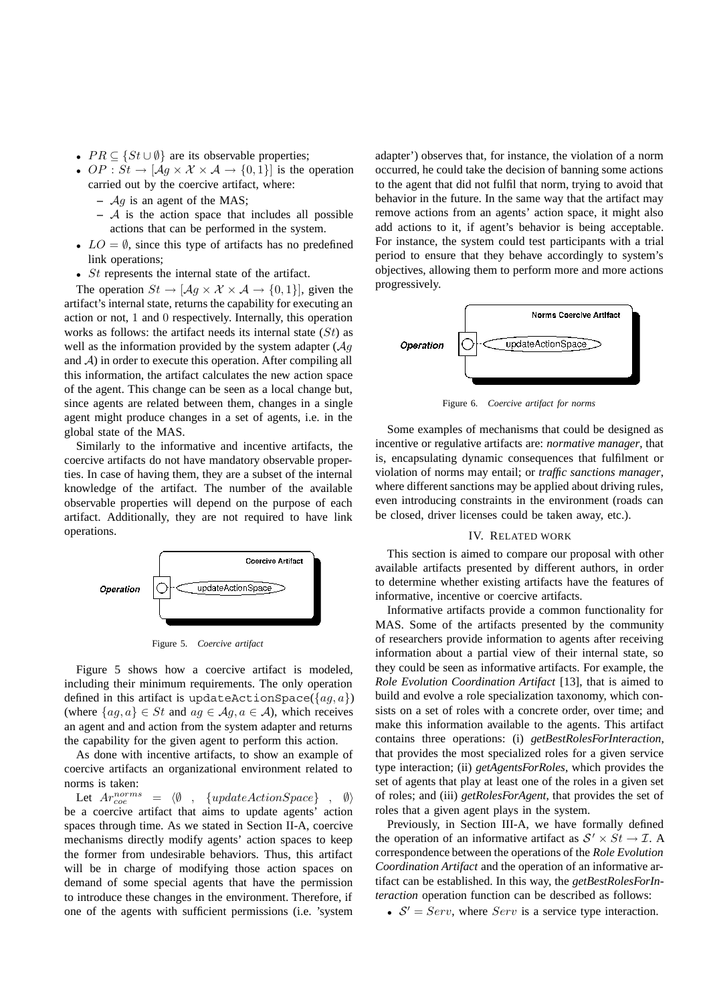- $PR \subseteq \{St \cup \emptyset\}$  are its observable properties;
- OP :  $St \to [Ag \times X \times A \to \{0,1\}]$  is the operation carried out by the coercive artifact, where:
	- **–** Ag is an agent of the MAS;
	- **–** A is the action space that includes all possible actions that can be performed in the system.
- $LO = \emptyset$ , since this type of artifacts has no predefined link operations;
- *St* represents the internal state of the artifact.

The operation  $St \to [\mathcal{A}g \times \mathcal{X} \times \mathcal{A}] \to \{0, 1\}$ , given the artifact's internal state, returns the capability for executing an action or not, 1 and 0 respectively. Internally, this operation works as follows: the artifact needs its internal state  $(St)$  as well as the information provided by the system adapter  $(Aq)$ and  $A$ ) in order to execute this operation. After compiling all this information, the artifact calculates the new action space of the agent. This change can be seen as a local change but, since agents are related between them, changes in a single agent might produce changes in a set of agents, i.e. in the global state of the MAS.

Similarly to the informative and incentive artifacts, the coercive artifacts do not have mandatory observable properties. In case of having them, they are a subset of the internal knowledge of the artifact. The number of the available observable properties will depend on the purpose of each artifact. Additionally, they are not required to have link operations.





Figure 5 shows how a coercive artifact is modeled, including their minimum requirements. The only operation defined in this artifact is updateActionSpace( $\{ag, a\}$ ) (where  ${aq, a} \in St$  and  $aq \in \mathcal{A}q, a \in \mathcal{A}$ ), which receives an agent and and action from the system adapter and returns the capability for the given agent to perform this action.

As done with incentive artifacts, to show an example of coercive artifacts an organizational environment related to norms is taken:

Let  $Ar_{ce}^{norms} = \langle \emptyset, \{updateActionSpace\} , \emptyset \rangle$ be a coercive artifact that aims to update agents' action spaces through time. As we stated in Section II-A, coercive mechanisms directly modify agents' action spaces to keep the former from undesirable behaviors. Thus, this artifact will be in charge of modifying those action spaces on demand of some special agents that have the permission to introduce these changes in the environment. Therefore, if one of the agents with sufficient permissions (i.e. 'system

adapter') observes that, for instance, the violation of a norm occurred, he could take the decision of banning some actions to the agent that did not fulfil that norm, trying to avoid that behavior in the future. In the same way that the artifact may remove actions from an agents' action space, it might also add actions to it, if agent's behavior is being acceptable. For instance, the system could test participants with a trial period to ensure that they behave accordingly to system's objectives, allowing them to perform more and more actions progressively.



Figure 6. *Coercive artifact for norms*

Some examples of mechanisms that could be designed as incentive or regulative artifacts are: *normative manager*, that is, encapsulating dynamic consequences that fulfilment or violation of norms may entail; or *traffic sanctions manager*, where different sanctions may be applied about driving rules, even introducing constraints in the environment (roads can be closed, driver licenses could be taken away, etc.).

#### IV. RELATED WORK

This section is aimed to compare our proposal with other available artifacts presented by different authors, in order to determine whether existing artifacts have the features of informative, incentive or coercive artifacts.

Informative artifacts provide a common functionality for MAS. Some of the artifacts presented by the community of researchers provide information to agents after receiving information about a partial view of their internal state, so they could be seen as informative artifacts. For example, the *Role Evolution Coordination Artifact* [13], that is aimed to build and evolve a role specialization taxonomy, which consists on a set of roles with a concrete order, over time; and make this information available to the agents. This artifact contains three operations: (i) *getBestRolesForInteraction*, that provides the most specialized roles for a given service type interaction; (ii) *getAgentsForRoles*, which provides the set of agents that play at least one of the roles in a given set of roles; and (iii) *getRolesForAgent*, that provides the set of roles that a given agent plays in the system.

Previously, in Section III-A, we have formally defined the operation of an informative artifact as  $S' \times St \rightarrow \mathcal{I}$ . A correspondence between the operations of the *Role Evolution Coordination Artifact* and the operation of an informative artifact can be established. In this way, the *getBestRolesForInteraction* operation function can be described as follows:

•  $S' = Serv$ , where  $Serv$  is a service type interaction.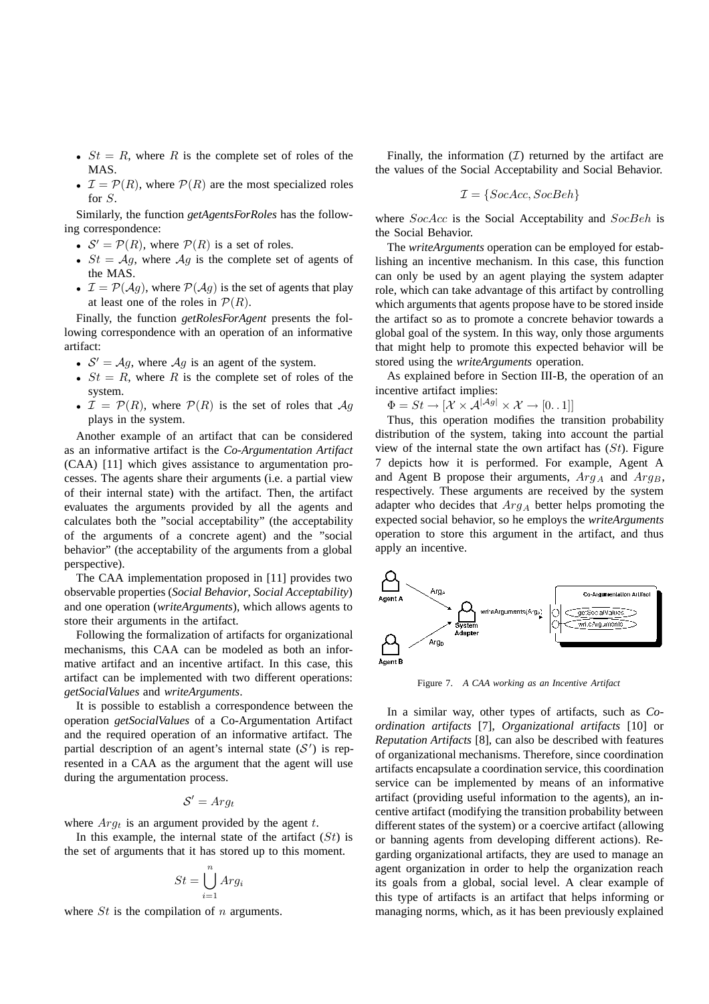- $St = R$ , where R is the complete set of roles of the MAS.
- $\mathcal{I} = \mathcal{P}(R)$ , where  $\mathcal{P}(R)$  are the most specialized roles for S.

Similarly, the function *getAgentsForRoles* has the following correspondence:

- $S' = \mathcal{P}(R)$ , where  $\mathcal{P}(R)$  is a set of roles.
- $St = Aq$ , where  $Aq$  is the complete set of agents of the MAS.
- $\mathcal{I} = \mathcal{P}(\mathcal{A}q)$ , where  $\mathcal{P}(\mathcal{A}q)$  is the set of agents that play at least one of the roles in  $P(R)$ .

Finally, the function *getRolesForAgent* presents the following correspondence with an operation of an informative artifact:

- $S' = Ag$ , where  $Ag$  is an agent of the system.
- $St = R$ , where R is the complete set of roles of the system.
- $\mathcal{I} = \mathcal{P}(R)$ , where  $\mathcal{P}(R)$  is the set of roles that  $\mathcal{A}g$ plays in the system.

Another example of an artifact that can be considered as an informative artifact is the *Co-Argumentation Artifact* (CAA) [11] which gives assistance to argumentation processes. The agents share their arguments (i.e. a partial view of their internal state) with the artifact. Then, the artifact evaluates the arguments provided by all the agents and calculates both the "social acceptability" (the acceptability of the arguments of a concrete agent) and the "social behavior" (the acceptability of the arguments from a global perspective).

The CAA implementation proposed in [11] provides two observable properties (*Social Behavior*, *Social Acceptability*) and one operation (*writeArguments*), which allows agents to store their arguments in the artifact.

Following the formalization of artifacts for organizational mechanisms, this CAA can be modeled as both an informative artifact and an incentive artifact. In this case, this artifact can be implemented with two different operations: *getSocialValues* and *writeArguments*.

It is possible to establish a correspondence between the operation *getSocialValues* of a Co-Argumentation Artifact and the required operation of an informative artifact. The partial description of an agent's internal state  $(S')$  is represented in a CAA as the argument that the agent will use during the argumentation process.

$$
\mathcal{S}' = Arg_t
$$

where  $Arg_t$  is an argument provided by the agent t.

In this example, the internal state of the artifact  $(St)$  is the set of arguments that it has stored up to this moment.

$$
St = \bigcup_{i=1}^{n} Arg_i
$$

where  $St$  is the compilation of  $n$  arguments.

Finally, the information  $(I)$  returned by the artifact are the values of the Social Acceptability and Social Behavior.

$$
\mathcal{I} = \{SocAcc, SocBeh\}
$$

where SocAcc is the Social Acceptability and SocBeh is the Social Behavior.

The *writeArguments* operation can be employed for establishing an incentive mechanism. In this case, this function can only be used by an agent playing the system adapter role, which can take advantage of this artifact by controlling which arguments that agents propose have to be stored inside the artifact so as to promote a concrete behavior towards a global goal of the system. In this way, only those arguments that might help to promote this expected behavior will be stored using the *writeArguments* operation.

As explained before in Section III-B, the operation of an incentive artifact implies:

 $\Phi = St \rightarrow [\mathcal{X} \times \mathcal{A}^{|\mathcal{A}g|} \times \mathcal{X} \rightarrow [0,.1]]$ 

Thus, this operation modifies the transition probability distribution of the system, taking into account the partial view of the internal state the own artifact has  $(St)$ . Figure 7 depicts how it is performed. For example, Agent A and Agent B propose their arguments, Arg*A* and Arg*B*, respectively. These arguments are received by the system adapter who decides that Arg*A* better helps promoting the expected social behavior, so he employs the *writeArguments* operation to store this argument in the artifact, and thus apply an incentive.



Figure 7. *A CAA working as an Incentive Artifact*

In a similar way, other types of artifacts, such as *Coordination artifacts* [7], *Organizational artifacts* [10] or *Reputation Artifacts* [8], can also be described with features of organizational mechanisms. Therefore, since coordination artifacts encapsulate a coordination service, this coordination service can be implemented by means of an informative artifact (providing useful information to the agents), an incentive artifact (modifying the transition probability between different states of the system) or a coercive artifact (allowing or banning agents from developing different actions). Regarding organizational artifacts, they are used to manage an agent organization in order to help the organization reach its goals from a global, social level. A clear example of this type of artifacts is an artifact that helps informing or managing norms, which, as it has been previously explained